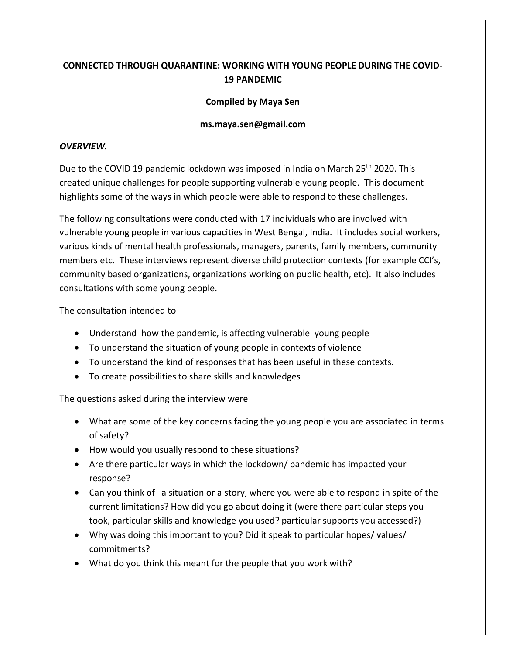# **CONNECTED THROUGH QUARANTINE: WORKING WITH YOUNG PEOPLE DURING THE COVID-19 PANDEMIC**

## **Compiled by Maya Sen**

#### **ms.maya.sen@gmail.com**

### *OVERVIEW.*

Due to the COVID 19 pandemic lockdown was imposed in India on March 25<sup>th</sup> 2020. This created unique challenges for people supporting vulnerable young people. This document highlights some of the ways in which people were able to respond to these challenges.

The following consultations were conducted with 17 individuals who are involved with vulnerable young people in various capacities in West Bengal, India. It includes social workers, various kinds of mental health professionals, managers, parents, family members, community members etc. These interviews represent diverse child protection contexts (for example CCI's, community based organizations, organizations working on public health, etc). It also includes consultations with some young people.

The consultation intended to

- Understand how the pandemic, is affecting vulnerable young people
- To understand the situation of young people in contexts of violence
- To understand the kind of responses that has been useful in these contexts.
- To create possibilities to share skills and knowledges

The questions asked during the interview were

- What are some of the key concerns facing the young people you are associated in terms of safety?
- How would you usually respond to these situations?
- Are there particular ways in which the lockdown/ pandemic has impacted your response?
- Can you think of a situation or a story, where you were able to respond in spite of the current limitations? How did you go about doing it (were there particular steps you took, particular skills and knowledge you used? particular supports you accessed?)
- Why was doing this important to you? Did it speak to particular hopes/ values/ commitments?
- What do you think this meant for the people that you work with?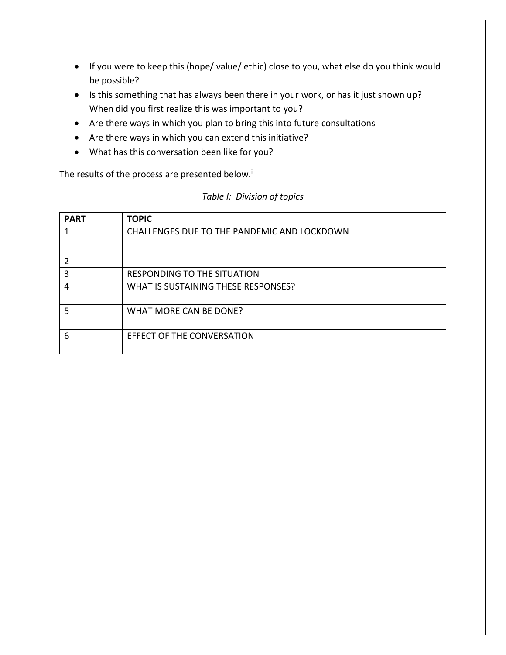- If you were to keep this (hope/ value/ ethic) close to you, what else do you think would be possible?
- Is this something that has always been there in your work, or has it just shown up? When did you first realize this was important to you?
- Are there ways in which you plan to bring this into future consultations
- Are there ways in which you can extend this initiative?
- What has this conversation been like for you?

The results of the process are presented below.<sup>i</sup>

|  |  | Table I: Division of topics |
|--|--|-----------------------------|
|--|--|-----------------------------|

| <b>PART</b> | <b>TOPIC</b>                                |
|-------------|---------------------------------------------|
|             | CHALLENGES DUE TO THE PANDEMIC AND LOCKDOWN |
|             |                                             |
| 3           | RESPONDING TO THE SITUATION                 |
| 4           | WHAT IS SUSTAINING THESE RESPONSES?         |
|             | WHAT MORE CAN BE DONE?                      |
| 6           | EFFECT OF THE CONVERSATION                  |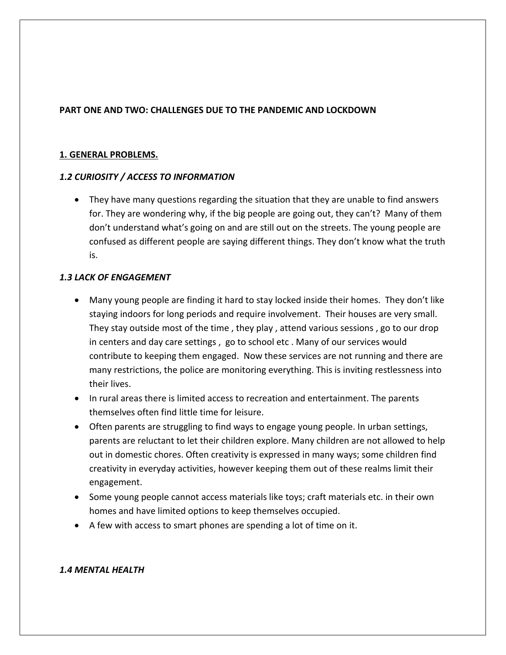#### **PART ONE AND TWO: CHALLENGES DUE TO THE PANDEMIC AND LOCKDOWN**

#### **1. GENERAL PROBLEMS.**

#### *1.2 CURIOSITY / ACCESS TO INFORMATION*

 They have many questions regarding the situation that they are unable to find answers for. They are wondering why, if the big people are going out, they can't? Many of them don't understand what's going on and are still out on the streets. The young people are confused as different people are saying different things. They don't know what the truth is.

#### *1.3 LACK OF ENGAGEMENT*

- Many young people are finding it hard to stay locked inside their homes. They don't like staying indoors for long periods and require involvement. Their houses are very small. They stay outside most of the time , they play , attend various sessions , go to our drop in centers and day care settings , go to school etc . Many of our services would contribute to keeping them engaged. Now these services are not running and there are many restrictions, the police are monitoring everything. This is inviting restlessness into their lives.
- In rural areas there is limited access to recreation and entertainment. The parents themselves often find little time for leisure.
- Often parents are struggling to find ways to engage young people. In urban settings, parents are reluctant to let their children explore. Many children are not allowed to help out in domestic chores. Often creativity is expressed in many ways; some children find creativity in everyday activities, however keeping them out of these realms limit their engagement.
- Some young people cannot access materials like toys; craft materials etc. in their own homes and have limited options to keep themselves occupied.
- A few with access to smart phones are spending a lot of time on it.

#### *1.4 MENTAL HEALTH*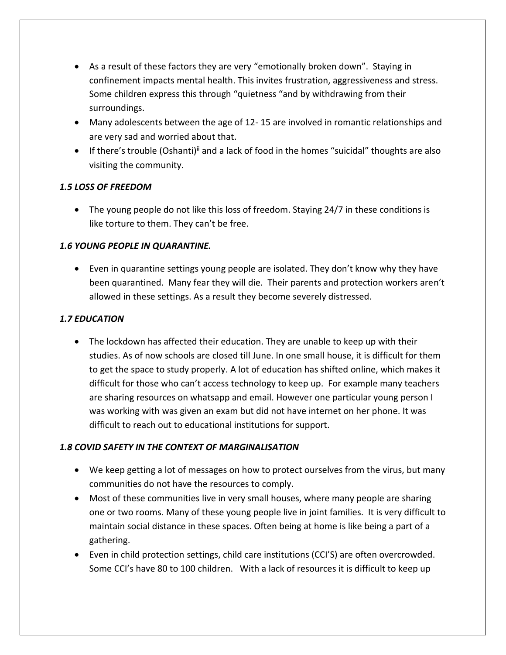- As a result of these factors they are very "emotionally broken down". Staying in confinement impacts mental health. This invites frustration, aggressiveness and stress. Some children express this through "quietness "and by withdrawing from their surroundings.
- Many adolescents between the age of 12- 15 are involved in romantic relationships and are very sad and worried about that.
- If there's trouble (Oshanti)<sup>ii</sup> and a lack of food in the homes "suicidal" thoughts are also visiting the community.

## *1.5 LOSS OF FREEDOM*

 The young people do not like this loss of freedom. Staying 24/7 in these conditions is like torture to them. They can't be free.

## *1.6 YOUNG PEOPLE IN QUARANTINE.*

 Even in quarantine settings young people are isolated. They don't know why they have been quarantined. Many fear they will die. Their parents and protection workers aren't allowed in these settings. As a result they become severely distressed.

## *1.7 EDUCATION*

 The lockdown has affected their education. They are unable to keep up with their studies. As of now schools are closed till June. In one small house, it is difficult for them to get the space to study properly. A lot of education has shifted online, which makes it difficult for those who can't access technology to keep up. For example many teachers are sharing resources on whatsapp and email. However one particular young person I was working with was given an exam but did not have internet on her phone. It was difficult to reach out to educational institutions for support.

# *1.8 COVID SAFETY IN THE CONTEXT OF MARGINALISATION*

- We keep getting a lot of messages on how to protect ourselves from the virus, but many communities do not have the resources to comply.
- Most of these communities live in very small houses, where many people are sharing one or two rooms. Many of these young people live in joint families. It is very difficult to maintain social distance in these spaces. Often being at home is like being a part of a gathering.
- Even in child protection settings, child care institutions (CCI'S) are often overcrowded. Some CCI's have 80 to 100 children. With a lack of resources it is difficult to keep up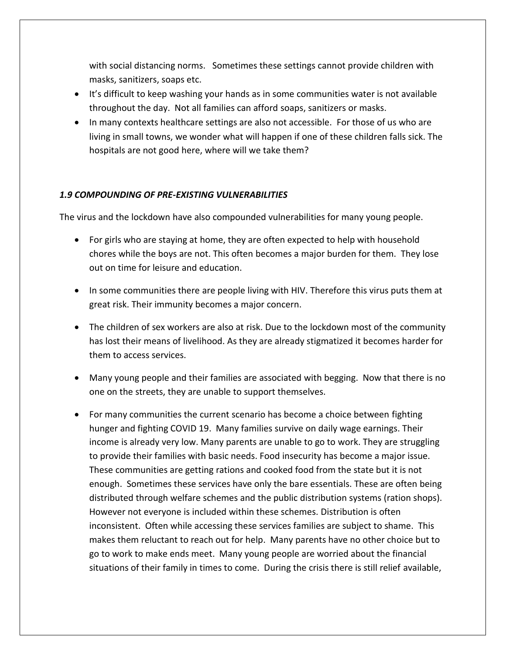with social distancing norms. Sometimes these settings cannot provide children with masks, sanitizers, soaps etc.

- It's difficult to keep washing your hands as in some communities water is not available throughout the day. Not all families can afford soaps, sanitizers or masks.
- In many contexts healthcare settings are also not accessible. For those of us who are living in small towns, we wonder what will happen if one of these children falls sick. The hospitals are not good here, where will we take them?

#### *1.9 COMPOUNDING OF PRE-EXISTING VULNERABILITIES*

The virus and the lockdown have also compounded vulnerabilities for many young people.

- For girls who are staying at home, they are often expected to help with household chores while the boys are not. This often becomes a major burden for them. They lose out on time for leisure and education.
- In some communities there are people living with HIV. Therefore this virus puts them at great risk. Their immunity becomes a major concern.
- The children of sex workers are also at risk. Due to the lockdown most of the community has lost their means of livelihood. As they are already stigmatized it becomes harder for them to access services.
- Many young people and their families are associated with begging. Now that there is no one on the streets, they are unable to support themselves.
- For many communities the current scenario has become a choice between fighting hunger and fighting COVID 19. Many families survive on daily wage earnings. Their income is already very low. Many parents are unable to go to work. They are struggling to provide their families with basic needs. Food insecurity has become a major issue. These communities are getting rations and cooked food from the state but it is not enough. Sometimes these services have only the bare essentials. These are often being distributed through welfare schemes and the public distribution systems (ration shops). However not everyone is included within these schemes. Distribution is often inconsistent. Often while accessing these services families are subject to shame. This makes them reluctant to reach out for help. Many parents have no other choice but to go to work to make ends meet. Many young people are worried about the financial situations of their family in times to come. During the crisis there is still relief available,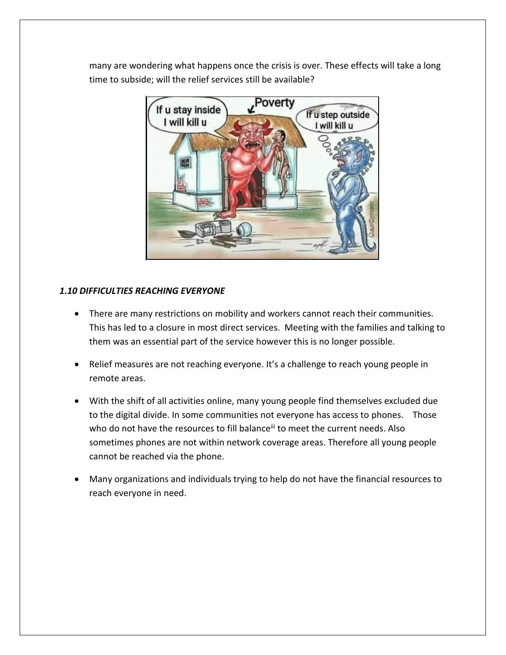many are wondering what happens once the crisis is over. These effects will take a long time to subside; will the relief services still be available?



# *1.10 DIFFICULTIES REACHING EVERYONE*

- There are many restrictions on mobility and workers cannot reach their communities. This has led to a closure in most direct services. Meeting with the families and talking to them was an essential part of the service however this is no longer possible.
- Relief measures are not reaching everyone. It's a challenge to reach young people in remote areas.
- With the shift of all activities online, many young people find themselves excluded due to the digital divide. In some communities not everyone has access to phones. Those who do not have the resources to fill balance<sup>iii</sup> to meet the current needs. Also sometimes phones are not within network coverage areas. Therefore all young people cannot be reached via the phone.
- Many organizations and individuals trying to help do not have the financial resources to reach everyone in need.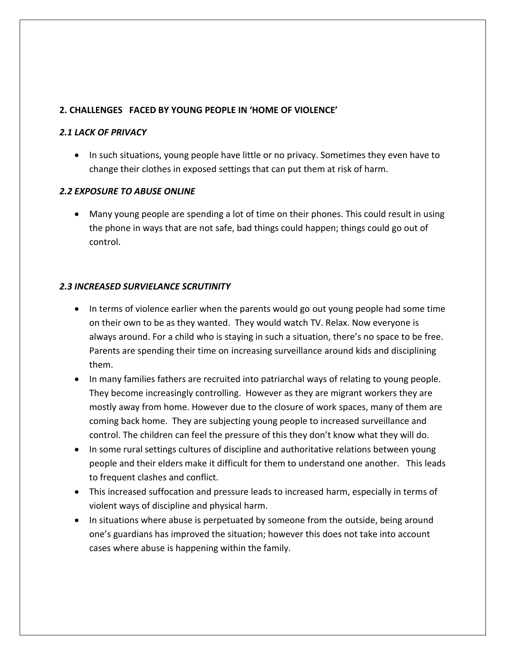#### **2. CHALLENGES FACED BY YOUNG PEOPLE IN 'HOME OF VIOLENCE'**

#### *2.1 LACK OF PRIVACY*

• In such situations, young people have little or no privacy. Sometimes they even have to change their clothes in exposed settings that can put them at risk of harm.

#### *2.2 EXPOSURE TO ABUSE ONLINE*

 Many young people are spending a lot of time on their phones. This could result in using the phone in ways that are not safe, bad things could happen; things could go out of control.

#### *2.3 INCREASED SURVIELANCE SCRUTINITY*

- In terms of violence earlier when the parents would go out young people had some time on their own to be as they wanted. They would watch TV. Relax. Now everyone is always around. For a child who is staying in such a situation, there's no space to be free. Parents are spending their time on increasing surveillance around kids and disciplining them.
- In many families fathers are recruited into patriarchal ways of relating to young people. They become increasingly controlling. However as they are migrant workers they are mostly away from home. However due to the closure of work spaces, many of them are coming back home. They are subjecting young people to increased surveillance and control. The children can feel the pressure of this they don't know what they will do.
- In some rural settings cultures of discipline and authoritative relations between young people and their elders make it difficult for them to understand one another. This leads to frequent clashes and conflict.
- This increased suffocation and pressure leads to increased harm, especially in terms of violent ways of discipline and physical harm.
- In situations where abuse is perpetuated by someone from the outside, being around one's guardians has improved the situation; however this does not take into account cases where abuse is happening within the family.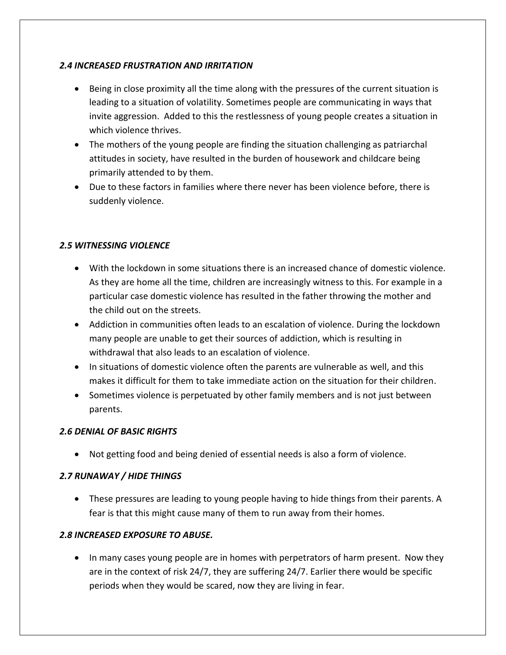# *2.4 INCREASED FRUSTRATION AND IRRITATION*

- Being in close proximity all the time along with the pressures of the current situation is leading to a situation of volatility. Sometimes people are communicating in ways that invite aggression. Added to this the restlessness of young people creates a situation in which violence thrives.
- The mothers of the young people are finding the situation challenging as patriarchal attitudes in society, have resulted in the burden of housework and childcare being primarily attended to by them.
- Due to these factors in families where there never has been violence before, there is suddenly violence.

## *2.5 WITNESSING VIOLENCE*

- With the lockdown in some situations there is an increased chance of domestic violence. As they are home all the time, children are increasingly witness to this. For example in a particular case domestic violence has resulted in the father throwing the mother and the child out on the streets.
- Addiction in communities often leads to an escalation of violence. During the lockdown many people are unable to get their sources of addiction, which is resulting in withdrawal that also leads to an escalation of violence.
- In situations of domestic violence often the parents are vulnerable as well, and this makes it difficult for them to take immediate action on the situation for their children.
- Sometimes violence is perpetuated by other family members and is not just between parents.

#### *2.6 DENIAL OF BASIC RIGHTS*

Not getting food and being denied of essential needs is also a form of violence.

#### *2.7 RUNAWAY / HIDE THINGS*

 These pressures are leading to young people having to hide things from their parents. A fear is that this might cause many of them to run away from their homes.

#### *2.8 INCREASED EXPOSURE TO ABUSE.*

• In many cases young people are in homes with perpetrators of harm present. Now they are in the context of risk 24/7, they are suffering 24/7. Earlier there would be specific periods when they would be scared, now they are living in fear.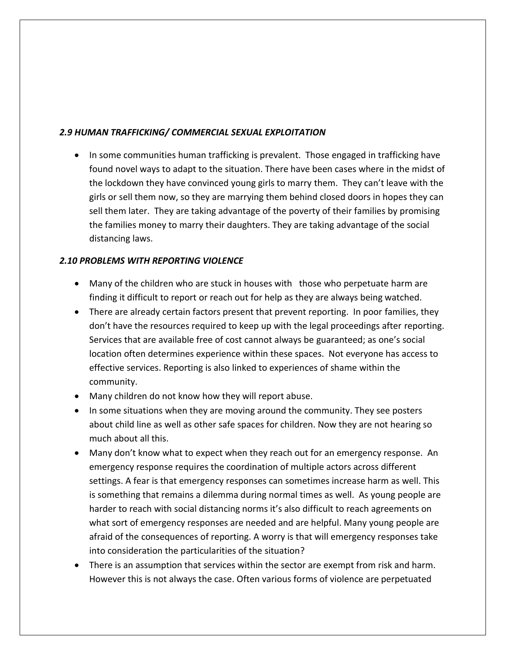### *2.9 HUMAN TRAFFICKING/ COMMERCIAL SEXUAL EXPLOITATION*

• In some communities human trafficking is prevalent. Those engaged in trafficking have found novel ways to adapt to the situation. There have been cases where in the midst of the lockdown they have convinced young girls to marry them. They can't leave with the girls or sell them now, so they are marrying them behind closed doors in hopes they can sell them later. They are taking advantage of the poverty of their families by promising the families money to marry their daughters. They are taking advantage of the social distancing laws.

## *2.10 PROBLEMS WITH REPORTING VIOLENCE*

- Many of the children who are stuck in houses with those who perpetuate harm are finding it difficult to report or reach out for help as they are always being watched.
- There are already certain factors present that prevent reporting. In poor families, they don't have the resources required to keep up with the legal proceedings after reporting. Services that are available free of cost cannot always be guaranteed; as one's social location often determines experience within these spaces. Not everyone has access to effective services. Reporting is also linked to experiences of shame within the community.
- Many children do not know how they will report abuse.
- In some situations when they are moving around the community. They see posters about child line as well as other safe spaces for children. Now they are not hearing so much about all this.
- Many don't know what to expect when they reach out for an emergency response. An emergency response requires the coordination of multiple actors across different settings. A fear is that emergency responses can sometimes increase harm as well. This is something that remains a dilemma during normal times as well. As young people are harder to reach with social distancing norms it's also difficult to reach agreements on what sort of emergency responses are needed and are helpful. Many young people are afraid of the consequences of reporting. A worry is that will emergency responses take into consideration the particularities of the situation?
- There is an assumption that services within the sector are exempt from risk and harm. However this is not always the case. Often various forms of violence are perpetuated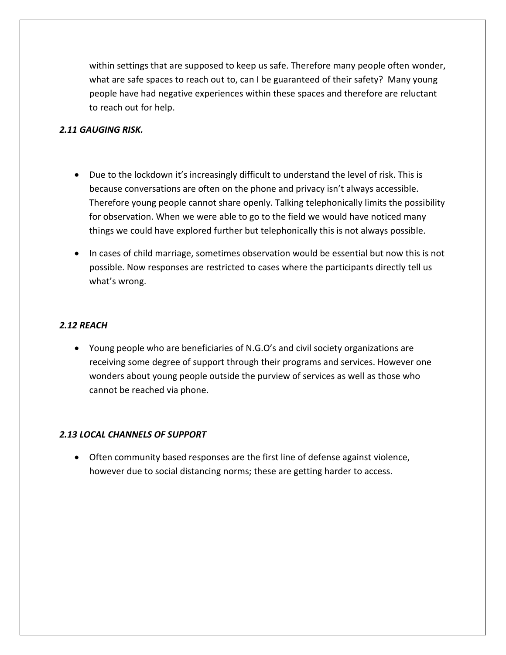within settings that are supposed to keep us safe. Therefore many people often wonder, what are safe spaces to reach out to, can I be guaranteed of their safety? Many young people have had negative experiences within these spaces and therefore are reluctant to reach out for help.

## *2.11 GAUGING RISK.*

- Due to the lockdown it's increasingly difficult to understand the level of risk. This is because conversations are often on the phone and privacy isn't always accessible. Therefore young people cannot share openly. Talking telephonically limits the possibility for observation. When we were able to go to the field we would have noticed many things we could have explored further but telephonically this is not always possible.
- In cases of child marriage, sometimes observation would be essential but now this is not possible. Now responses are restricted to cases where the participants directly tell us what's wrong.

# *2.12 REACH*

 Young people who are beneficiaries of N.G.O's and civil society organizations are receiving some degree of support through their programs and services. However one wonders about young people outside the purview of services as well as those who cannot be reached via phone.

#### *2.13 LOCAL CHANNELS OF SUPPORT*

 Often community based responses are the first line of defense against violence, however due to social distancing norms; these are getting harder to access.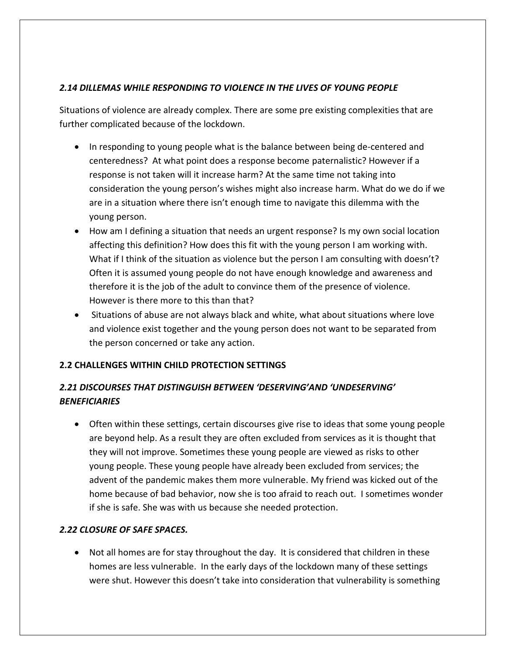# *2.14 DILLEMAS WHILE RESPONDING TO VIOLENCE IN THE LIVES OF YOUNG PEOPLE*

Situations of violence are already complex. There are some pre existing complexities that are further complicated because of the lockdown.

- In responding to young people what is the balance between being de-centered and centeredness? At what point does a response become paternalistic? However if a response is not taken will it increase harm? At the same time not taking into consideration the young person's wishes might also increase harm. What do we do if we are in a situation where there isn't enough time to navigate this dilemma with the young person.
- How am I defining a situation that needs an urgent response? Is my own social location affecting this definition? How does this fit with the young person I am working with. What if I think of the situation as violence but the person I am consulting with doesn't? Often it is assumed young people do not have enough knowledge and awareness and therefore it is the job of the adult to convince them of the presence of violence. However is there more to this than that?
- Situations of abuse are not always black and white, what about situations where love and violence exist together and the young person does not want to be separated from the person concerned or take any action.

# **2.2 CHALLENGES WITHIN CHILD PROTECTION SETTINGS**

# *2.21 DISCOURSES THAT DISTINGUISH BETWEEN 'DESERVING'AND 'UNDESERVING' BENEFICIARIES*

 Often within these settings, certain discourses give rise to ideas that some young people are beyond help. As a result they are often excluded from services as it is thought that they will not improve. Sometimes these young people are viewed as risks to other young people. These young people have already been excluded from services; the advent of the pandemic makes them more vulnerable. My friend was kicked out of the home because of bad behavior, now she is too afraid to reach out. I sometimes wonder if she is safe. She was with us because she needed protection.

# *2.22 CLOSURE OF SAFE SPACES.*

 Not all homes are for stay throughout the day. It is considered that children in these homes are less vulnerable. In the early days of the lockdown many of these settings were shut. However this doesn't take into consideration that vulnerability is something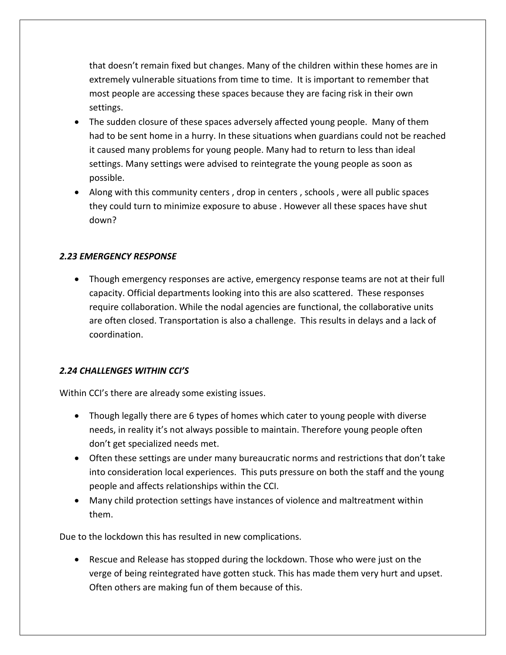that doesn't remain fixed but changes. Many of the children within these homes are in extremely vulnerable situations from time to time. It is important to remember that most people are accessing these spaces because they are facing risk in their own settings.

- The sudden closure of these spaces adversely affected young people. Many of them had to be sent home in a hurry. In these situations when guardians could not be reached it caused many problems for young people. Many had to return to less than ideal settings. Many settings were advised to reintegrate the young people as soon as possible.
- Along with this community centers , drop in centers , schools , were all public spaces they could turn to minimize exposure to abuse . However all these spaces have shut down?

## *2.23 EMERGENCY RESPONSE*

 Though emergency responses are active, emergency response teams are not at their full capacity. Official departments looking into this are also scattered. These responses require collaboration. While the nodal agencies are functional, the collaborative units are often closed. Transportation is also a challenge. This results in delays and a lack of coordination.

#### *2.24 CHALLENGES WITHIN CCI'S*

Within CCI's there are already some existing issues.

- Though legally there are 6 types of homes which cater to young people with diverse needs, in reality it's not always possible to maintain. Therefore young people often don't get specialized needs met.
- Often these settings are under many bureaucratic norms and restrictions that don't take into consideration local experiences. This puts pressure on both the staff and the young people and affects relationships within the CCI.
- Many child protection settings have instances of violence and maltreatment within them.

Due to the lockdown this has resulted in new complications.

 Rescue and Release has stopped during the lockdown. Those who were just on the verge of being reintegrated have gotten stuck. This has made them very hurt and upset. Often others are making fun of them because of this.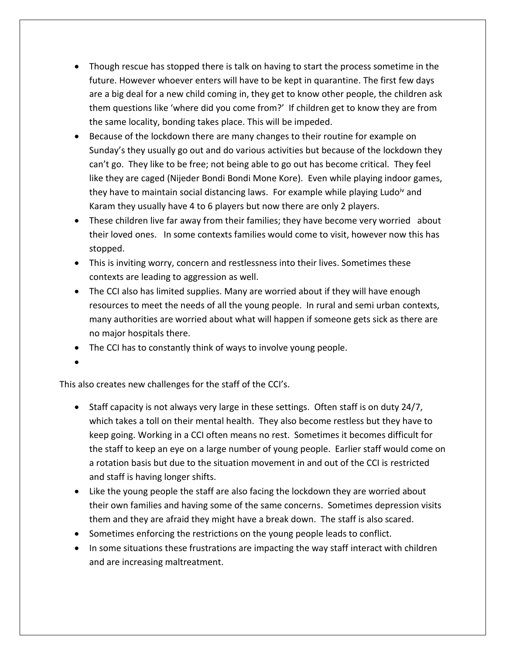- Though rescue has stopped there is talk on having to start the process sometime in the future. However whoever enters will have to be kept in quarantine. The first few days are a big deal for a new child coming in, they get to know other people, the children ask them questions like 'where did you come from?' If children get to know they are from the same locality, bonding takes place. This will be impeded.
- Because of the lockdown there are many changes to their routine for example on Sunday's they usually go out and do various activities but because of the lockdown they can't go. They like to be free; not being able to go out has become critical. They feel like they are caged (Nijeder Bondi Bondi Mone Kore). Even while playing indoor games, they have to maintain social distancing laws. For example while playing Ludo<sup>iv</sup> and Karam they usually have 4 to 6 players but now there are only 2 players.
- These children live far away from their families; they have become very worried about their loved ones. In some contexts families would come to visit, however now this has stopped.
- This is inviting worry, concern and restlessness into their lives. Sometimes these contexts are leading to aggression as well.
- The CCI also has limited supplies. Many are worried about if they will have enough resources to meet the needs of all the young people. In rural and semi urban contexts, many authorities are worried about what will happen if someone gets sick as there are no major hospitals there.
- The CCI has to constantly think of ways to involve young people.
- $\bullet$

This also creates new challenges for the staff of the CCI's.

- Staff capacity is not always very large in these settings. Often staff is on duty 24/7, which takes a toll on their mental health. They also become restless but they have to keep going. Working in a CCI often means no rest. Sometimes it becomes difficult for the staff to keep an eye on a large number of young people. Earlier staff would come on a rotation basis but due to the situation movement in and out of the CCI is restricted and staff is having longer shifts.
- Like the young people the staff are also facing the lockdown they are worried about their own families and having some of the same concerns. Sometimes depression visits them and they are afraid they might have a break down. The staff is also scared.
- Sometimes enforcing the restrictions on the young people leads to conflict.
- In some situations these frustrations are impacting the way staff interact with children and are increasing maltreatment.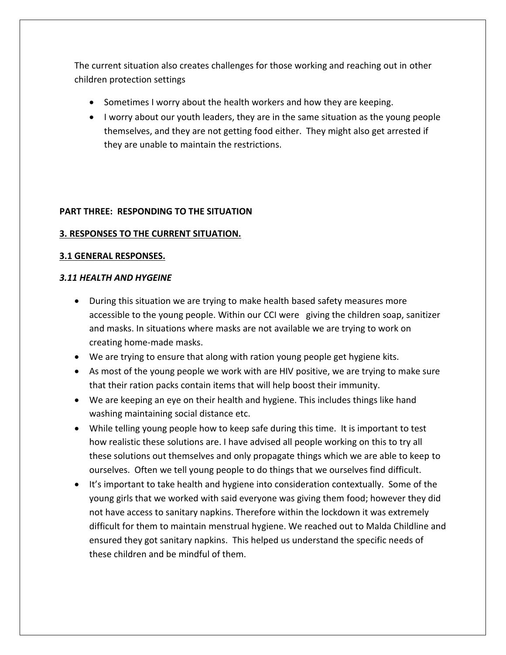The current situation also creates challenges for those working and reaching out in other children protection settings

- Sometimes I worry about the health workers and how they are keeping.
- I worry about our youth leaders, they are in the same situation as the young people themselves, and they are not getting food either. They might also get arrested if they are unable to maintain the restrictions.

# **PART THREE: RESPONDING TO THE SITUATION**

# **3. RESPONSES TO THE CURRENT SITUATION.**

# **3.1 GENERAL RESPONSES.**

# *3.11 HEALTH AND HYGEINE*

- During this situation we are trying to make health based safety measures more accessible to the young people. Within our CCI were giving the children soap, sanitizer and masks. In situations where masks are not available we are trying to work on creating home-made masks.
- We are trying to ensure that along with ration young people get hygiene kits.
- As most of the young people we work with are HIV positive, we are trying to make sure that their ration packs contain items that will help boost their immunity.
- We are keeping an eye on their health and hygiene. This includes things like hand washing maintaining social distance etc.
- While telling young people how to keep safe during this time. It is important to test how realistic these solutions are. I have advised all people working on this to try all these solutions out themselves and only propagate things which we are able to keep to ourselves. Often we tell young people to do things that we ourselves find difficult.
- It's important to take health and hygiene into consideration contextually. Some of the young girls that we worked with said everyone was giving them food; however they did not have access to sanitary napkins. Therefore within the lockdown it was extremely difficult for them to maintain menstrual hygiene. We reached out to Malda Childline and ensured they got sanitary napkins. This helped us understand the specific needs of these children and be mindful of them.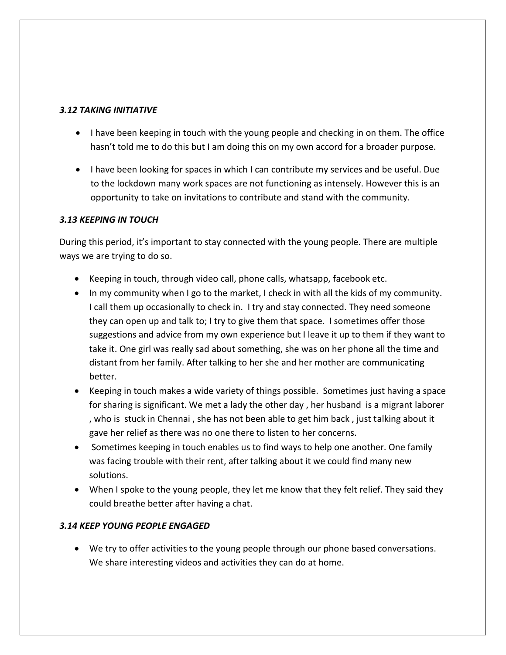#### *3.12 TAKING INITIATIVE*

- I have been keeping in touch with the young people and checking in on them. The office hasn't told me to do this but I am doing this on my own accord for a broader purpose.
- I have been looking for spaces in which I can contribute my services and be useful. Due to the lockdown many work spaces are not functioning as intensely. However this is an opportunity to take on invitations to contribute and stand with the community.

#### *3.13 KEEPING IN TOUCH*

During this period, it's important to stay connected with the young people. There are multiple ways we are trying to do so.

- Keeping in touch, through video call, phone calls, whatsapp, facebook etc.
- In my community when I go to the market, I check in with all the kids of my community. I call them up occasionally to check in. I try and stay connected. They need someone they can open up and talk to; I try to give them that space. I sometimes offer those suggestions and advice from my own experience but I leave it up to them if they want to take it. One girl was really sad about something, she was on her phone all the time and distant from her family. After talking to her she and her mother are communicating better.
- Keeping in touch makes a wide variety of things possible. Sometimes just having a space for sharing is significant. We met a lady the other day , her husband is a migrant laborer , who is stuck in Chennai , she has not been able to get him back , just talking about it gave her relief as there was no one there to listen to her concerns.
- Sometimes keeping in touch enables us to find ways to help one another. One family was facing trouble with their rent, after talking about it we could find many new solutions.
- When I spoke to the young people, they let me know that they felt relief. They said they could breathe better after having a chat.

#### *3.14 KEEP YOUNG PEOPLE ENGAGED*

 We try to offer activities to the young people through our phone based conversations. We share interesting videos and activities they can do at home.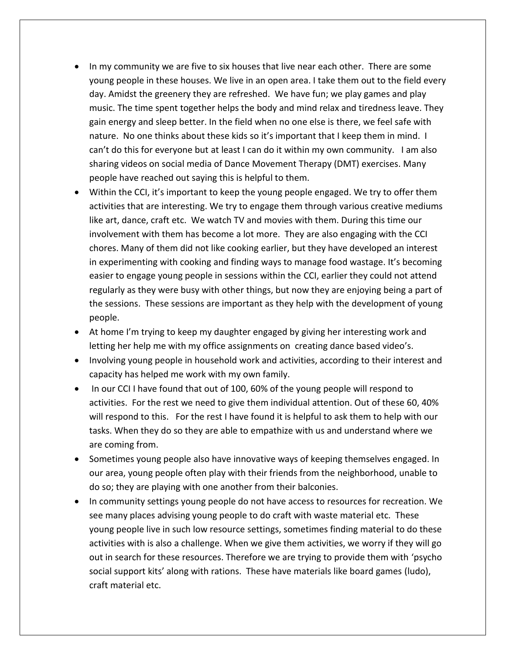- In my community we are five to six houses that live near each other. There are some young people in these houses. We live in an open area. I take them out to the field every day. Amidst the greenery they are refreshed. We have fun; we play games and play music. The time spent together helps the body and mind relax and tiredness leave. They gain energy and sleep better. In the field when no one else is there, we feel safe with nature. No one thinks about these kids so it's important that I keep them in mind. I can't do this for everyone but at least I can do it within my own community. I am also sharing videos on social media of Dance Movement Therapy (DMT) exercises. Many people have reached out saying this is helpful to them.
- Within the CCI, it's important to keep the young people engaged. We try to offer them activities that are interesting. We try to engage them through various creative mediums like art, dance, craft etc. We watch TV and movies with them. During this time our involvement with them has become a lot more. They are also engaging with the CCI chores. Many of them did not like cooking earlier, but they have developed an interest in experimenting with cooking and finding ways to manage food wastage. It's becoming easier to engage young people in sessions within the CCI, earlier they could not attend regularly as they were busy with other things, but now they are enjoying being a part of the sessions. These sessions are important as they help with the development of young people.
- At home I'm trying to keep my daughter engaged by giving her interesting work and letting her help me with my office assignments on creating dance based video's.
- Involving young people in household work and activities, according to their interest and capacity has helped me work with my own family.
- In our CCI I have found that out of 100, 60% of the young people will respond to activities. For the rest we need to give them individual attention. Out of these 60, 40% will respond to this. For the rest I have found it is helpful to ask them to help with our tasks. When they do so they are able to empathize with us and understand where we are coming from.
- Sometimes young people also have innovative ways of keeping themselves engaged. In our area, young people often play with their friends from the neighborhood, unable to do so; they are playing with one another from their balconies.
- In community settings young people do not have access to resources for recreation. We see many places advising young people to do craft with waste material etc. These young people live in such low resource settings, sometimes finding material to do these activities with is also a challenge. When we give them activities, we worry if they will go out in search for these resources. Therefore we are trying to provide them with 'psycho social support kits' along with rations. These have materials like board games (ludo), craft material etc.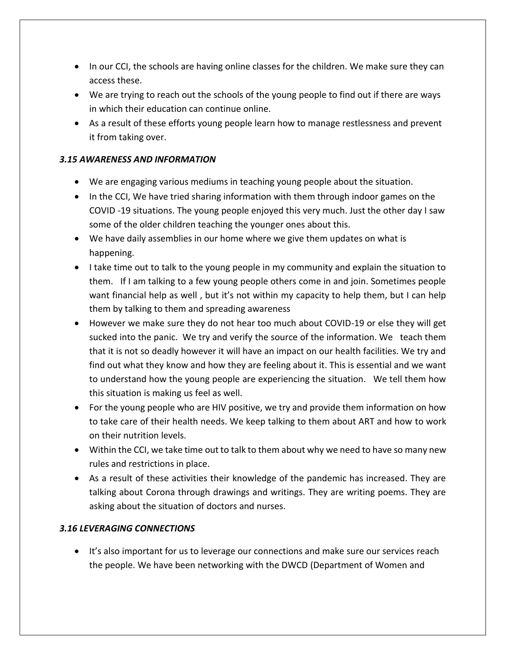- In our CCI, the schools are having online classes for the children. We make sure they can access these.
- We are trying to reach out the schools of the young people to find out if there are ways in which their education can continue online.
- As a result of these efforts young people learn how to manage restlessness and prevent it from taking over.

## *3.15 AWARENESS AND INFORMATION*

- We are engaging various mediums in teaching young people about the situation.
- In the CCI, We have tried sharing information with them through indoor games on the COVID -19 situations. The young people enjoyed this very much. Just the other day I saw some of the older children teaching the younger ones about this.
- We have daily assemblies in our home where we give them updates on what is happening.
- I take time out to talk to the young people in my community and explain the situation to them. If I am talking to a few young people others come in and join. Sometimes people want financial help as well , but it's not within my capacity to help them, but I can help them by talking to them and spreading awareness
- However we make sure they do not hear too much about COVID-19 or else they will get sucked into the panic. We try and verify the source of the information. We teach them that it is not so deadly however it will have an impact on our health facilities. We try and find out what they know and how they are feeling about it. This is essential and we want to understand how the young people are experiencing the situation. We tell them how this situation is making us feel as well.
- For the young people who are HIV positive, we try and provide them information on how to take care of their health needs. We keep talking to them about ART and how to work on their nutrition levels.
- Within the CCI, we take time out to talk to them about why we need to have so many new rules and restrictions in place.
- As a result of these activities their knowledge of the pandemic has increased. They are talking about Corona through drawings and writings. They are writing poems. They are asking about the situation of doctors and nurses.

#### *3.16 LEVERAGING CONNECTIONS*

• It's also important for us to leverage our connections and make sure our services reach the people. We have been networking with the DWCD (Department of Women and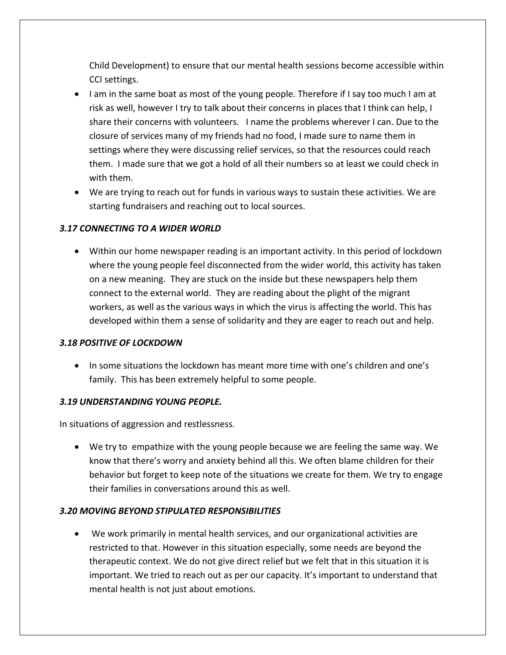Child Development) to ensure that our mental health sessions become accessible within CCI settings.

- I am in the same boat as most of the young people. Therefore if I say too much I am at risk as well, however I try to talk about their concerns in places that I think can help, I share their concerns with volunteers. I name the problems wherever I can. Due to the closure of services many of my friends had no food, I made sure to name them in settings where they were discussing relief services, so that the resources could reach them. I made sure that we got a hold of all their numbers so at least we could check in with them.
- We are trying to reach out for funds in various ways to sustain these activities. We are starting fundraisers and reaching out to local sources.

## *3.17 CONNECTING TO A WIDER WORLD*

 Within our home newspaper reading is an important activity. In this period of lockdown where the young people feel disconnected from the wider world, this activity has taken on a new meaning. They are stuck on the inside but these newspapers help them connect to the external world. They are reading about the plight of the migrant workers, as well as the various ways in which the virus is affecting the world. This has developed within them a sense of solidarity and they are eager to reach out and help.

#### *3.18 POSITIVE OF LOCKDOWN*

• In some situations the lockdown has meant more time with one's children and one's family. This has been extremely helpful to some people.

#### *3.19 UNDERSTANDING YOUNG PEOPLE.*

In situations of aggression and restlessness.

 We try to empathize with the young people because we are feeling the same way. We know that there's worry and anxiety behind all this. We often blame children for their behavior but forget to keep note of the situations we create for them. We try to engage their families in conversations around this as well.

# *3.20 MOVING BEYOND STIPULATED RESPONSIBILITIES*

 We work primarily in mental health services, and our organizational activities are restricted to that. However in this situation especially, some needs are beyond the therapeutic context. We do not give direct relief but we felt that in this situation it is important. We tried to reach out as per our capacity. It's important to understand that mental health is not just about emotions.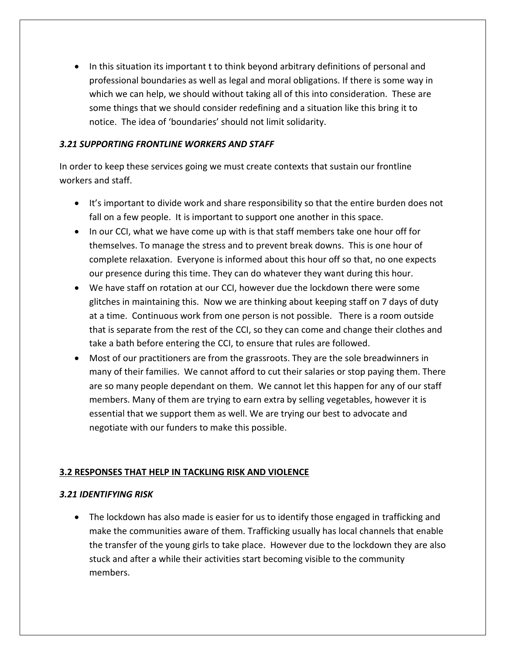• In this situation its important t to think beyond arbitrary definitions of personal and professional boundaries as well as legal and moral obligations. If there is some way in which we can help, we should without taking all of this into consideration. These are some things that we should consider redefining and a situation like this bring it to notice. The idea of 'boundaries' should not limit solidarity.

#### *3.21 SUPPORTING FRONTLINE WORKERS AND STAFF*

In order to keep these services going we must create contexts that sustain our frontline workers and staff.

- It's important to divide work and share responsibility so that the entire burden does not fall on a few people. It is important to support one another in this space.
- In our CCI, what we have come up with is that staff members take one hour off for themselves. To manage the stress and to prevent break downs. This is one hour of complete relaxation. Everyone is informed about this hour off so that, no one expects our presence during this time. They can do whatever they want during this hour.
- We have staff on rotation at our CCI, however due the lockdown there were some glitches in maintaining this. Now we are thinking about keeping staff on 7 days of duty at a time. Continuous work from one person is not possible. There is a room outside that is separate from the rest of the CCI, so they can come and change their clothes and take a bath before entering the CCI, to ensure that rules are followed.
- Most of our practitioners are from the grassroots. They are the sole breadwinners in many of their families. We cannot afford to cut their salaries or stop paying them. There are so many people dependant on them. We cannot let this happen for any of our staff members. Many of them are trying to earn extra by selling vegetables, however it is essential that we support them as well. We are trying our best to advocate and negotiate with our funders to make this possible.

#### **3.2 RESPONSES THAT HELP IN TACKLING RISK AND VIOLENCE**

#### *3.21 IDENTIFYING RISK*

 The lockdown has also made is easier for us to identify those engaged in trafficking and make the communities aware of them. Trafficking usually has local channels that enable the transfer of the young girls to take place. However due to the lockdown they are also stuck and after a while their activities start becoming visible to the community members.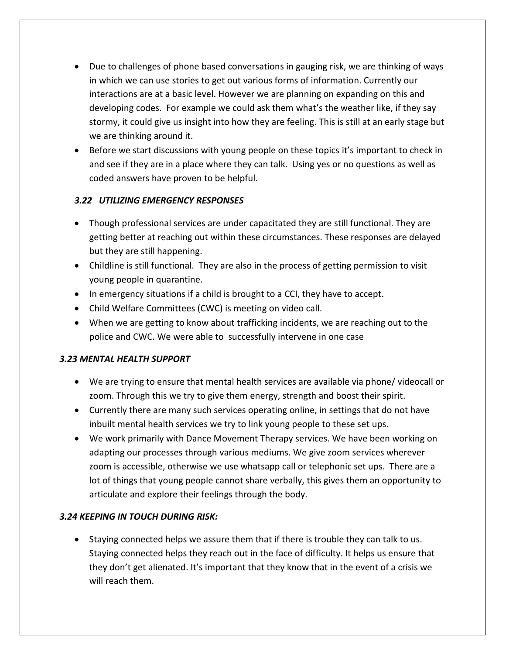- Due to challenges of phone based conversations in gauging risk, we are thinking of ways in which we can use stories to get out various forms of information. Currently our interactions are at a basic level. However we are planning on expanding on this and developing codes. For example we could ask them what's the weather like, if they say stormy, it could give us insight into how they are feeling. This is still at an early stage but we are thinking around it.
- Before we start discussions with young people on these topics it's important to check in and see if they are in a place where they can talk. Using yes or no questions as well as coded answers have proven to be helpful.

# *3.22 UTILIZING EMERGENCY RESPONSES*

- Though professional services are under capacitated they are still functional. They are getting better at reaching out within these circumstances. These responses are delayed but they are still happening.
- Childline is still functional. They are also in the process of getting permission to visit young people in quarantine.
- In emergency situations if a child is brought to a CCI, they have to accept.
- Child Welfare Committees (CWC) is meeting on video call.
- When we are getting to know about trafficking incidents, we are reaching out to the police and CWC. We were able to successfully intervene in one case

# *3.23 MENTAL HEALTH SUPPORT*

- We are trying to ensure that mental health services are available via phone/ videocall or zoom. Through this we try to give them energy, strength and boost their spirit.
- Currently there are many such services operating online, in settings that do not have inbuilt mental health services we try to link young people to these set ups.
- We work primarily with Dance Movement Therapy services. We have been working on adapting our processes through various mediums. We give zoom services wherever zoom is accessible, otherwise we use whatsapp call or telephonic set ups. There are a lot of things that young people cannot share verbally, this gives them an opportunity to articulate and explore their feelings through the body.

# *3.24 KEEPING IN TOUCH DURING RISK:*

• Staying connected helps we assure them that if there is trouble they can talk to us. Staying connected helps they reach out in the face of difficulty. It helps us ensure that they don't get alienated. It's important that they know that in the event of a crisis we will reach them.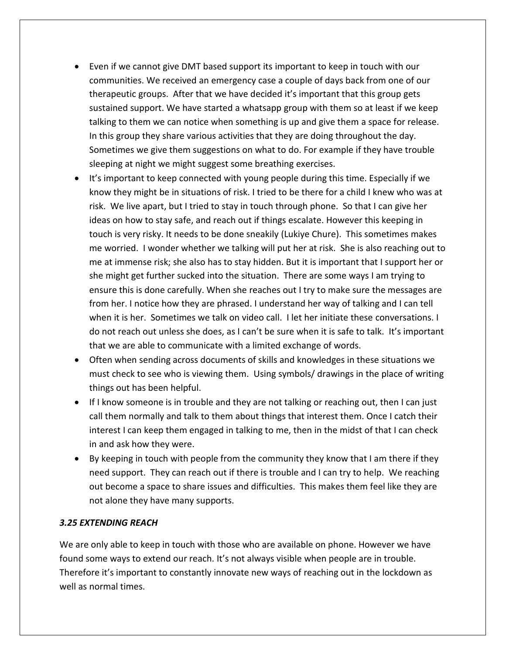- Even if we cannot give DMT based support its important to keep in touch with our communities. We received an emergency case a couple of days back from one of our therapeutic groups. After that we have decided it's important that this group gets sustained support. We have started a whatsapp group with them so at least if we keep talking to them we can notice when something is up and give them a space for release. In this group they share various activities that they are doing throughout the day. Sometimes we give them suggestions on what to do. For example if they have trouble sleeping at night we might suggest some breathing exercises.
- It's important to keep connected with young people during this time. Especially if we know they might be in situations of risk. I tried to be there for a child I knew who was at risk. We live apart, but I tried to stay in touch through phone. So that I can give her ideas on how to stay safe, and reach out if things escalate. However this keeping in touch is very risky. It needs to be done sneakily (Lukiye Chure). This sometimes makes me worried. I wonder whether we talking will put her at risk. She is also reaching out to me at immense risk; she also has to stay hidden. But it is important that I support her or she might get further sucked into the situation. There are some ways I am trying to ensure this is done carefully. When she reaches out I try to make sure the messages are from her. I notice how they are phrased. I understand her way of talking and I can tell when it is her. Sometimes we talk on video call. I let her initiate these conversations. I do not reach out unless she does, as I can't be sure when it is safe to talk. It's important that we are able to communicate with a limited exchange of words.
- Often when sending across documents of skills and knowledges in these situations we must check to see who is viewing them. Using symbols/ drawings in the place of writing things out has been helpful.
- If I know someone is in trouble and they are not talking or reaching out, then I can just call them normally and talk to them about things that interest them. Once I catch their interest I can keep them engaged in talking to me, then in the midst of that I can check in and ask how they were.
- By keeping in touch with people from the community they know that I am there if they need support. They can reach out if there is trouble and I can try to help. We reaching out become a space to share issues and difficulties. This makes them feel like they are not alone they have many supports.

#### *3.25 EXTENDING REACH*

We are only able to keep in touch with those who are available on phone. However we have found some ways to extend our reach. It's not always visible when people are in trouble. Therefore it's important to constantly innovate new ways of reaching out in the lockdown as well as normal times.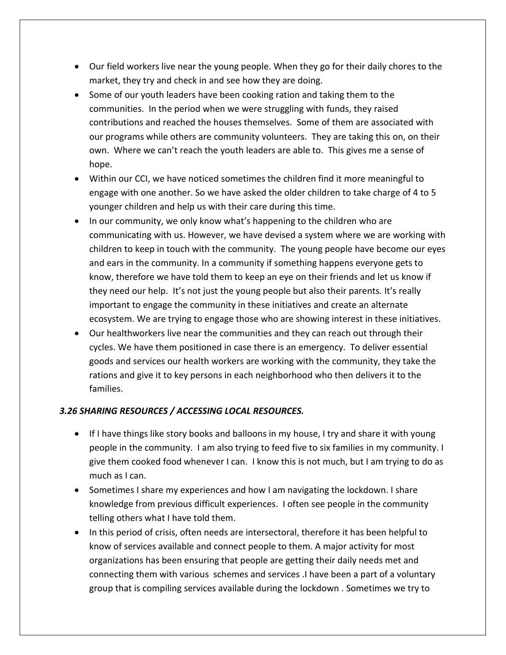- Our field workers live near the young people. When they go for their daily chores to the market, they try and check in and see how they are doing.
- Some of our youth leaders have been cooking ration and taking them to the communities. In the period when we were struggling with funds, they raised contributions and reached the houses themselves. Some of them are associated with our programs while others are community volunteers. They are taking this on, on their own. Where we can't reach the youth leaders are able to. This gives me a sense of hope.
- Within our CCI, we have noticed sometimes the children find it more meaningful to engage with one another. So we have asked the older children to take charge of 4 to 5 younger children and help us with their care during this time.
- In our community, we only know what's happening to the children who are communicating with us. However, we have devised a system where we are working with children to keep in touch with the community. The young people have become our eyes and ears in the community. In a community if something happens everyone gets to know, therefore we have told them to keep an eye on their friends and let us know if they need our help. It's not just the young people but also their parents. It's really important to engage the community in these initiatives and create an alternate ecosystem. We are trying to engage those who are showing interest in these initiatives.
- Our healthworkers live near the communities and they can reach out through their cycles. We have them positioned in case there is an emergency. To deliver essential goods and services our health workers are working with the community, they take the rations and give it to key persons in each neighborhood who then delivers it to the families.

#### *3.26 SHARING RESOURCES / ACCESSING LOCAL RESOURCES.*

- If I have things like story books and balloons in my house, I try and share it with young people in the community. I am also trying to feed five to six families in my community. I give them cooked food whenever I can. I know this is not much, but I am trying to do as much as I can.
- Sometimes I share my experiences and how I am navigating the lockdown. I share knowledge from previous difficult experiences. I often see people in the community telling others what I have told them.
- In this period of crisis, often needs are intersectoral, therefore it has been helpful to know of services available and connect people to them. A major activity for most organizations has been ensuring that people are getting their daily needs met and connecting them with various schemes and services .I have been a part of a voluntary group that is compiling services available during the lockdown . Sometimes we try to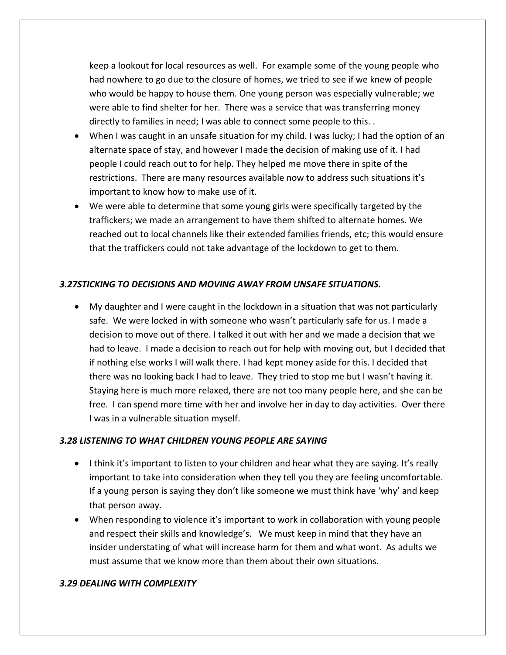keep a lookout for local resources as well. For example some of the young people who had nowhere to go due to the closure of homes, we tried to see if we knew of people who would be happy to house them. One young person was especially vulnerable; we were able to find shelter for her. There was a service that was transferring money directly to families in need; I was able to connect some people to this. .

- When I was caught in an unsafe situation for my child. I was lucky; I had the option of an alternate space of stay, and however I made the decision of making use of it. I had people I could reach out to for help. They helped me move there in spite of the restrictions. There are many resources available now to address such situations it's important to know how to make use of it.
- We were able to determine that some young girls were specifically targeted by the traffickers; we made an arrangement to have them shifted to alternate homes. We reached out to local channels like their extended families friends, etc; this would ensure that the traffickers could not take advantage of the lockdown to get to them.

#### *3.27STICKING TO DECISIONS AND MOVING AWAY FROM UNSAFE SITUATIONS.*

 My daughter and I were caught in the lockdown in a situation that was not particularly safe. We were locked in with someone who wasn't particularly safe for us. I made a decision to move out of there. I talked it out with her and we made a decision that we had to leave. I made a decision to reach out for help with moving out, but I decided that if nothing else works I will walk there. I had kept money aside for this. I decided that there was no looking back I had to leave. They tried to stop me but I wasn't having it. Staying here is much more relaxed, there are not too many people here, and she can be free. I can spend more time with her and involve her in day to day activities. Over there I was in a vulnerable situation myself.

#### *3.28 LISTENING TO WHAT CHILDREN YOUNG PEOPLE ARE SAYING*

- I think it's important to listen to your children and hear what they are saying. It's really important to take into consideration when they tell you they are feeling uncomfortable. If a young person is saying they don't like someone we must think have 'why' and keep that person away.
- When responding to violence it's important to work in collaboration with young people and respect their skills and knowledge's. We must keep in mind that they have an insider understating of what will increase harm for them and what wont. As adults we must assume that we know more than them about their own situations.

#### *3.29 DEALING WITH COMPLEXITY*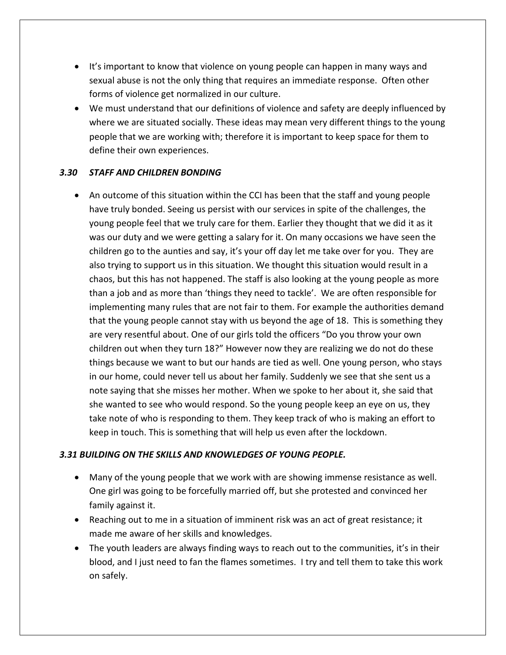- It's important to know that violence on young people can happen in many ways and sexual abuse is not the only thing that requires an immediate response. Often other forms of violence get normalized in our culture.
- We must understand that our definitions of violence and safety are deeply influenced by where we are situated socially. These ideas may mean very different things to the young people that we are working with; therefore it is important to keep space for them to define their own experiences.

## *3.30 STAFF AND CHILDREN BONDING*

 An outcome of this situation within the CCI has been that the staff and young people have truly bonded. Seeing us persist with our services in spite of the challenges, the young people feel that we truly care for them. Earlier they thought that we did it as it was our duty and we were getting a salary for it. On many occasions we have seen the children go to the aunties and say, it's your off day let me take over for you. They are also trying to support us in this situation. We thought this situation would result in a chaos, but this has not happened. The staff is also looking at the young people as more than a job and as more than 'things they need to tackle'. We are often responsible for implementing many rules that are not fair to them. For example the authorities demand that the young people cannot stay with us beyond the age of 18. This is something they are very resentful about. One of our girls told the officers "Do you throw your own children out when they turn 18?" However now they are realizing we do not do these things because we want to but our hands are tied as well. One young person, who stays in our home, could never tell us about her family. Suddenly we see that she sent us a note saying that she misses her mother. When we spoke to her about it, she said that she wanted to see who would respond. So the young people keep an eye on us, they take note of who is responding to them. They keep track of who is making an effort to keep in touch. This is something that will help us even after the lockdown.

#### *3.31 BUILDING ON THE SKILLS AND KNOWLEDGES OF YOUNG PEOPLE.*

- Many of the young people that we work with are showing immense resistance as well. One girl was going to be forcefully married off, but she protested and convinced her family against it.
- Reaching out to me in a situation of imminent risk was an act of great resistance; it made me aware of her skills and knowledges.
- The youth leaders are always finding ways to reach out to the communities, it's in their blood, and I just need to fan the flames sometimes. I try and tell them to take this work on safely.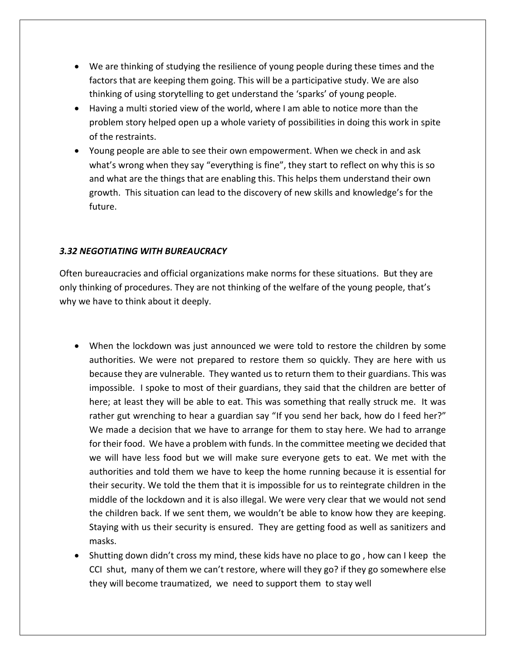- We are thinking of studying the resilience of young people during these times and the factors that are keeping them going. This will be a participative study. We are also thinking of using storytelling to get understand the 'sparks' of young people.
- Having a multi storied view of the world, where I am able to notice more than the problem story helped open up a whole variety of possibilities in doing this work in spite of the restraints.
- Young people are able to see their own empowerment. When we check in and ask what's wrong when they say "everything is fine", they start to reflect on why this is so and what are the things that are enabling this. This helps them understand their own growth. This situation can lead to the discovery of new skills and knowledge's for the future.

#### *3.32 NEGOTIATING WITH BUREAUCRACY*

Often bureaucracies and official organizations make norms for these situations. But they are only thinking of procedures. They are not thinking of the welfare of the young people, that's why we have to think about it deeply.

- When the lockdown was just announced we were told to restore the children by some authorities. We were not prepared to restore them so quickly. They are here with us because they are vulnerable. They wanted us to return them to their guardians. This was impossible. I spoke to most of their guardians, they said that the children are better of here; at least they will be able to eat. This was something that really struck me. It was rather gut wrenching to hear a guardian say "If you send her back, how do I feed her?" We made a decision that we have to arrange for them to stay here. We had to arrange for their food. We have a problem with funds. In the committee meeting we decided that we will have less food but we will make sure everyone gets to eat. We met with the authorities and told them we have to keep the home running because it is essential for their security. We told the them that it is impossible for us to reintegrate children in the middle of the lockdown and it is also illegal. We were very clear that we would not send the children back. If we sent them, we wouldn't be able to know how they are keeping. Staying with us their security is ensured. They are getting food as well as sanitizers and masks.
- Shutting down didn't cross my mind, these kids have no place to go , how can I keep the CCI shut, many of them we can't restore, where will they go? if they go somewhere else they will become traumatized, we need to support them to stay well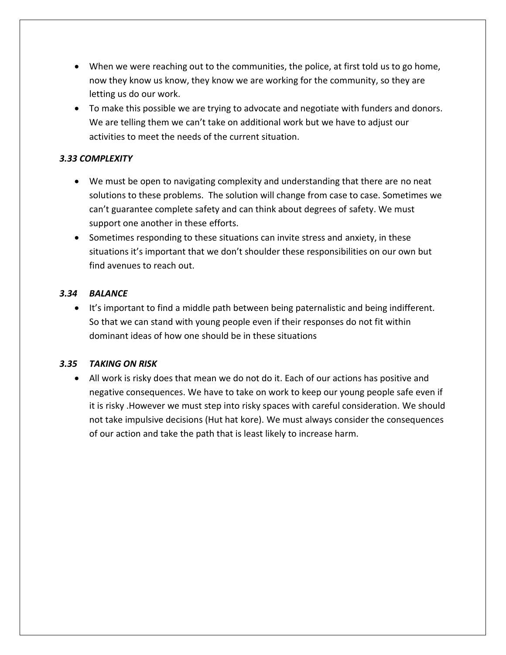- When we were reaching out to the communities, the police, at first told us to go home, now they know us know, they know we are working for the community, so they are letting us do our work.
- To make this possible we are trying to advocate and negotiate with funders and donors. We are telling them we can't take on additional work but we have to adjust our activities to meet the needs of the current situation.

### *3.33 COMPLEXITY*

- We must be open to navigating complexity and understanding that there are no neat solutions to these problems. The solution will change from case to case. Sometimes we can't guarantee complete safety and can think about degrees of safety. We must support one another in these efforts.
- Sometimes responding to these situations can invite stress and anxiety, in these situations it's important that we don't shoulder these responsibilities on our own but find avenues to reach out.

#### *3.34 BALANCE*

• It's important to find a middle path between being paternalistic and being indifferent. So that we can stand with young people even if their responses do not fit within dominant ideas of how one should be in these situations

#### *3.35 TAKING ON RISK*

 All work is risky does that mean we do not do it. Each of our actions has positive and negative consequences. We have to take on work to keep our young people safe even if it is risky .However we must step into risky spaces with careful consideration. We should not take impulsive decisions (Hut hat kore). We must always consider the consequences of our action and take the path that is least likely to increase harm.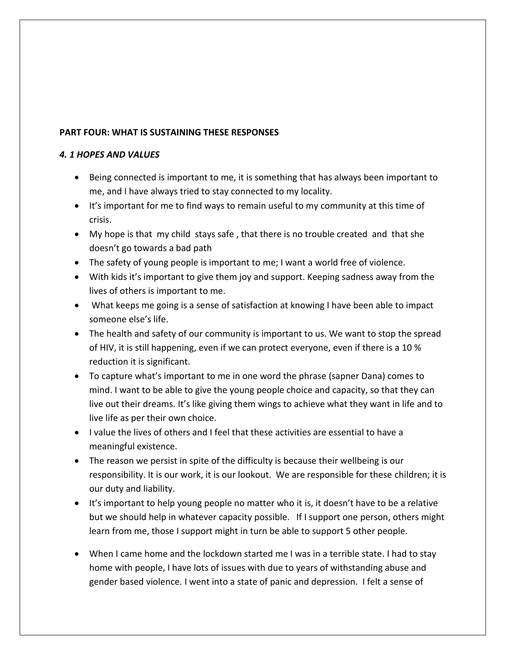## **PART FOUR: WHAT IS SUSTAINING THESE RESPONSES**

## *4. 1 HOPES AND VALUES*

- Being connected is important to me, it is something that has always been important to me, and I have always tried to stay connected to my locality.
- It's important for me to find ways to remain useful to my community at this time of crisis.
- My hope is that my child stays safe , that there is no trouble created and that she doesn't go towards a bad path
- The safety of young people is important to me; I want a world free of violence.
- With kids it's important to give them joy and support. Keeping sadness away from the lives of others is important to me.
- What keeps me going is a sense of satisfaction at knowing I have been able to impact someone else's life.
- The health and safety of our community is important to us. We want to stop the spread of HIV, it is still happening, even if we can protect everyone, even if there is a 10 % reduction it is significant.
- To capture what's important to me in one word the phrase (sapner Dana) comes to mind. I want to be able to give the young people choice and capacity, so that they can live out their dreams. It's like giving them wings to achieve what they want in life and to live life as per their own choice.
- I value the lives of others and I feel that these activities are essential to have a meaningful existence.
- The reason we persist in spite of the difficulty is because their wellbeing is our responsibility. It is our work, it is our lookout. We are responsible for these children; it is our duty and liability.
- It's important to help young people no matter who it is, it doesn't have to be a relative but we should help in whatever capacity possible. If I support one person, others might learn from me, those I support might in turn be able to support 5 other people.
- When I came home and the lockdown started me I was in a terrible state. I had to stay home with people, I have lots of issues with due to years of withstanding abuse and gender based violence. I went into a state of panic and depression. I felt a sense of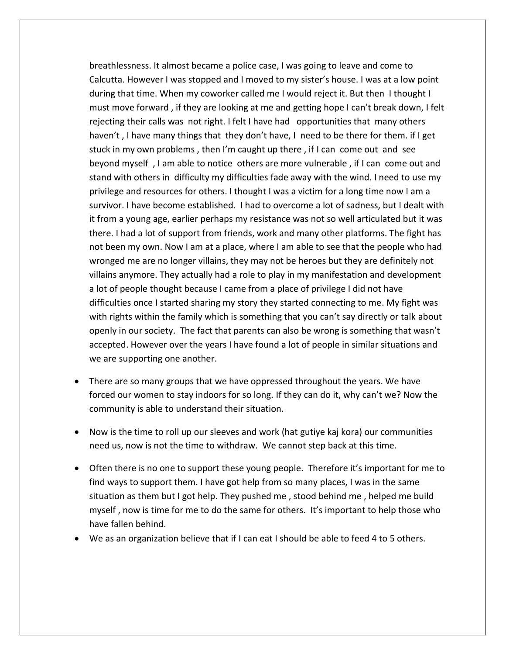breathlessness. It almost became a police case, I was going to leave and come to Calcutta. However I was stopped and I moved to my sister's house. I was at a low point during that time. When my coworker called me I would reject it. But then I thought I must move forward , if they are looking at me and getting hope I can't break down, I felt rejecting their calls was not right. I felt I have had opportunities that many others haven't , I have many things that they don't have, I need to be there for them. if I get stuck in my own problems , then I'm caught up there , if I can come out and see beyond myself , I am able to notice others are more vulnerable , if I can come out and stand with others in difficulty my difficulties fade away with the wind. I need to use my privilege and resources for others. I thought I was a victim for a long time now I am a survivor. I have become established. I had to overcome a lot of sadness, but I dealt with it from a young age, earlier perhaps my resistance was not so well articulated but it was there. I had a lot of support from friends, work and many other platforms. The fight has not been my own. Now I am at a place, where I am able to see that the people who had wronged me are no longer villains, they may not be heroes but they are definitely not villains anymore. They actually had a role to play in my manifestation and development a lot of people thought because I came from a place of privilege I did not have difficulties once I started sharing my story they started connecting to me. My fight was with rights within the family which is something that you can't say directly or talk about openly in our society. The fact that parents can also be wrong is something that wasn't accepted. However over the years I have found a lot of people in similar situations and we are supporting one another.

- There are so many groups that we have oppressed throughout the years. We have forced our women to stay indoors for so long. If they can do it, why can't we? Now the community is able to understand their situation.
- Now is the time to roll up our sleeves and work (hat gutiye kaj kora) our communities need us, now is not the time to withdraw. We cannot step back at this time.
- Often there is no one to support these young people. Therefore it's important for me to find ways to support them. I have got help from so many places, I was in the same situation as them but I got help. They pushed me , stood behind me , helped me build myself , now is time for me to do the same for others. It's important to help those who have fallen behind.
- We as an organization believe that if I can eat I should be able to feed 4 to 5 others.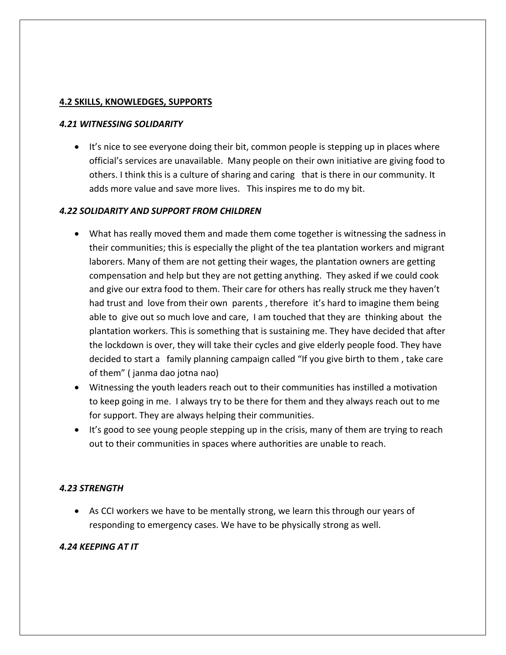#### **4.2 SKILLS, KNOWLEDGES, SUPPORTS**

#### *4.21 WITNESSING SOLIDARITY*

• It's nice to see everyone doing their bit, common people is stepping up in places where official's services are unavailable. Many people on their own initiative are giving food to others. I think this is a culture of sharing and caring that is there in our community. It adds more value and save more lives. This inspires me to do my bit.

#### *4.22 SOLIDARITY AND SUPPORT FROM CHILDREN*

- What has really moved them and made them come together is witnessing the sadness in their communities; this is especially the plight of the tea plantation workers and migrant laborers. Many of them are not getting their wages, the plantation owners are getting compensation and help but they are not getting anything. They asked if we could cook and give our extra food to them. Their care for others has really struck me they haven't had trust and love from their own parents , therefore it's hard to imagine them being able to give out so much love and care, I am touched that they are thinking about the plantation workers. This is something that is sustaining me. They have decided that after the lockdown is over, they will take their cycles and give elderly people food. They have decided to start a family planning campaign called "If you give birth to them , take care of them" ( janma dao jotna nao)
- Witnessing the youth leaders reach out to their communities has instilled a motivation to keep going in me. I always try to be there for them and they always reach out to me for support. They are always helping their communities.
- It's good to see young people stepping up in the crisis, many of them are trying to reach out to their communities in spaces where authorities are unable to reach.

#### *4.23 STRENGTH*

 As CCI workers we have to be mentally strong, we learn this through our years of responding to emergency cases. We have to be physically strong as well.

#### *4.24 KEEPING AT IT*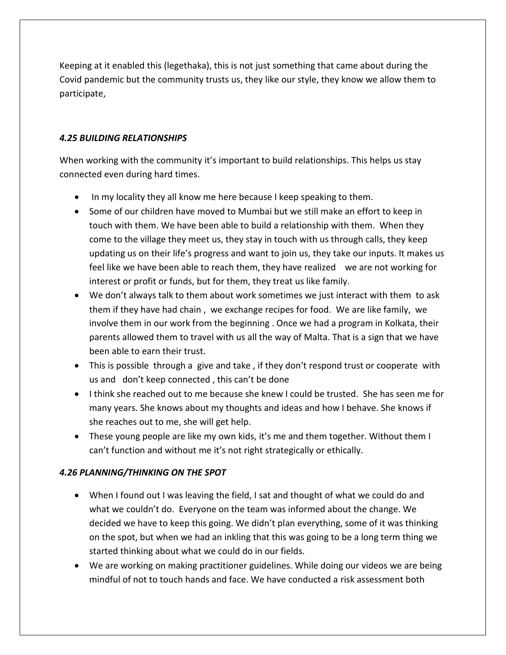Keeping at it enabled this (legethaka), this is not just something that came about during the Covid pandemic but the community trusts us, they like our style, they know we allow them to participate,

# *4.25 BUILDING RELATIONSHIPS*

When working with the community it's important to build relationships. This helps us stay connected even during hard times.

- In my locality they all know me here because I keep speaking to them.
- Some of our children have moved to Mumbai but we still make an effort to keep in touch with them. We have been able to build a relationship with them. When they come to the village they meet us, they stay in touch with us through calls, they keep updating us on their life's progress and want to join us, they take our inputs. It makes us feel like we have been able to reach them, they have realized we are not working for interest or profit or funds, but for them, they treat us like family.
- We don't always talk to them about work sometimes we just interact with them to ask them if they have had chain , we exchange recipes for food. We are like family, we involve them in our work from the beginning . Once we had a program in Kolkata, their parents allowed them to travel with us all the way of Malta. That is a sign that we have been able to earn their trust.
- This is possible through a give and take, if they don't respond trust or cooperate with us and don't keep connected , this can't be done
- I think she reached out to me because she knew I could be trusted. She has seen me for many years. She knows about my thoughts and ideas and how I behave. She knows if she reaches out to me, she will get help.
- These young people are like my own kids, it's me and them together. Without them I can't function and without me it's not right strategically or ethically.

# *4.26 PLANNING/THINKING ON THE SPOT*

- When I found out I was leaving the field, I sat and thought of what we could do and what we couldn't do. Everyone on the team was informed about the change. We decided we have to keep this going. We didn't plan everything, some of it was thinking on the spot, but when we had an inkling that this was going to be a long term thing we started thinking about what we could do in our fields.
- We are working on making practitioner guidelines. While doing our videos we are being mindful of not to touch hands and face. We have conducted a risk assessment both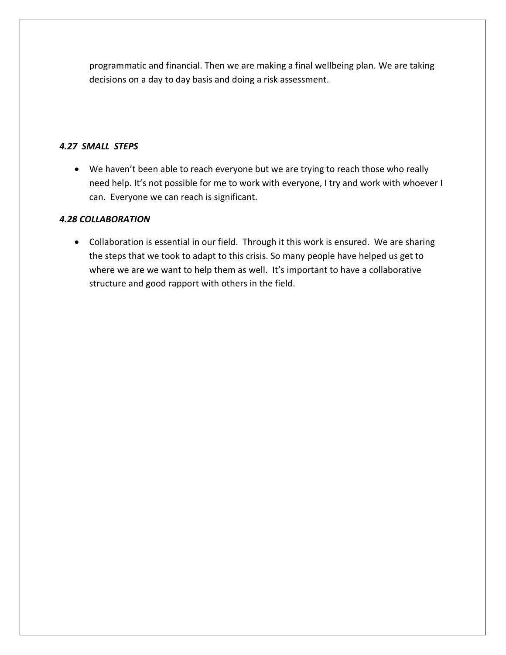programmatic and financial. Then we are making a final wellbeing plan. We are taking decisions on a day to day basis and doing a risk assessment.

### *4.27 SMALL STEPS*

 We haven't been able to reach everyone but we are trying to reach those who really need help. It's not possible for me to work with everyone, I try and work with whoever I can. Everyone we can reach is significant.

# *4.28 COLLABORATION*

• Collaboration is essential in our field. Through it this work is ensured. We are sharing the steps that we took to adapt to this crisis. So many people have helped us get to where we are we want to help them as well. It's important to have a collaborative structure and good rapport with others in the field.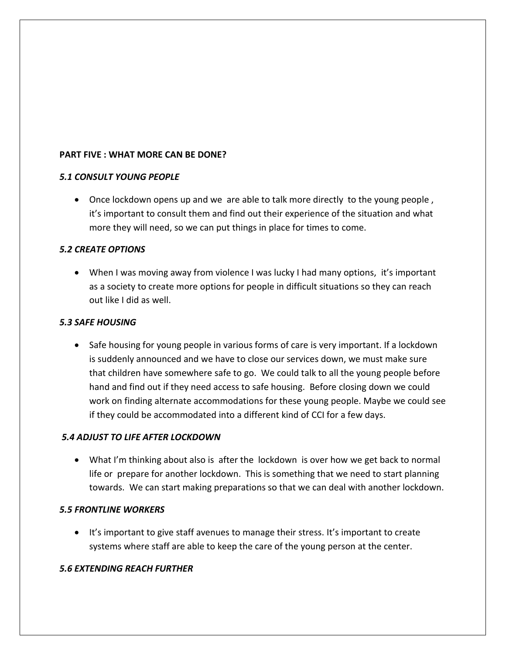#### **PART FIVE : WHAT MORE CAN BE DONE?**

## *5.1 CONSULT YOUNG PEOPLE*

 Once lockdown opens up and we are able to talk more directly to the young people , it's important to consult them and find out their experience of the situation and what more they will need, so we can put things in place for times to come.

## *5.2 CREATE OPTIONS*

 When I was moving away from violence I was lucky I had many options, it's important as a society to create more options for people in difficult situations so they can reach out like I did as well.

#### *5.3 SAFE HOUSING*

• Safe housing for young people in various forms of care is very important. If a lockdown is suddenly announced and we have to close our services down, we must make sure that children have somewhere safe to go. We could talk to all the young people before hand and find out if they need access to safe housing. Before closing down we could work on finding alternate accommodations for these young people. Maybe we could see if they could be accommodated into a different kind of CCI for a few days.

#### *5.4 ADJUST TO LIFE AFTER LOCKDOWN*

 What I'm thinking about also is after the lockdown is over how we get back to normal life or prepare for another lockdown. This is something that we need to start planning towards. We can start making preparations so that we can deal with another lockdown.

#### *5.5 FRONTLINE WORKERS*

• It's important to give staff avenues to manage their stress. It's important to create systems where staff are able to keep the care of the young person at the center.

# *5.6 EXTENDING REACH FURTHER*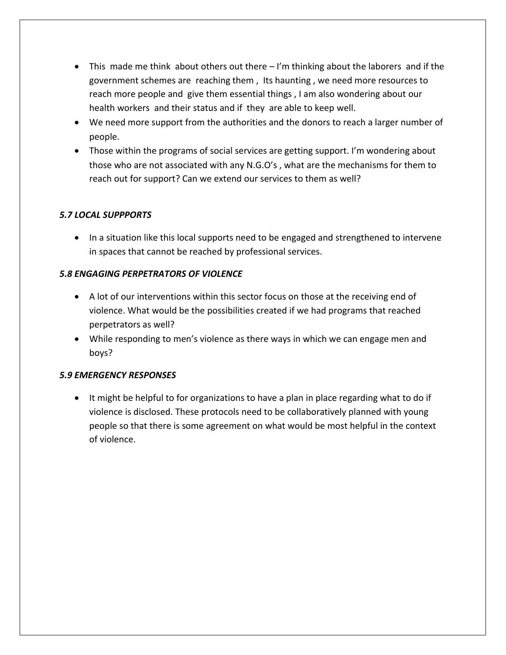- This made me think about others out there I'm thinking about the laborers and if the government schemes are reaching them , Its haunting , we need more resources to reach more people and give them essential things , I am also wondering about our health workers and their status and if they are able to keep well.
- We need more support from the authorities and the donors to reach a larger number of people.
- Those within the programs of social services are getting support. I'm wondering about those who are not associated with any N.G.O's , what are the mechanisms for them to reach out for support? Can we extend our services to them as well?

# *5.7 LOCAL SUPPPORTS*

• In a situation like this local supports need to be engaged and strengthened to intervene in spaces that cannot be reached by professional services.

# *5.8 ENGAGING PERPETRATORS OF VIOLENCE*

- A lot of our interventions within this sector focus on those at the receiving end of violence. What would be the possibilities created if we had programs that reached perpetrators as well?
- While responding to men's violence as there ways in which we can engage men and boys?

# *5.9 EMERGENCY RESPONSES*

• It might be helpful to for organizations to have a plan in place regarding what to do if violence is disclosed. These protocols need to be collaboratively planned with young people so that there is some agreement on what would be most helpful in the context of violence.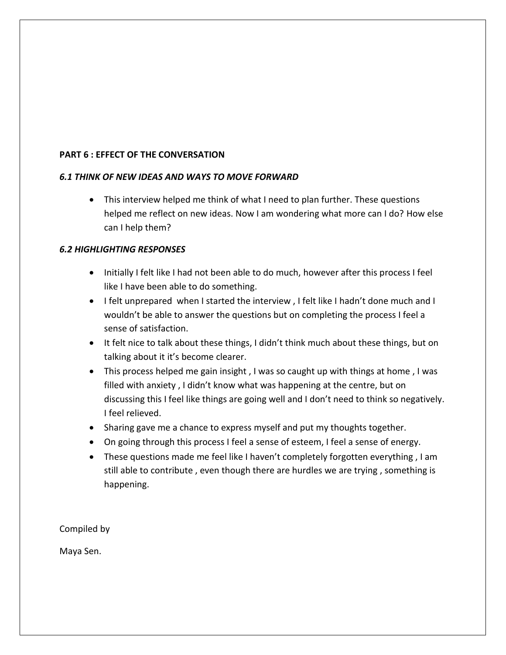#### **PART 6 : EFFECT OF THE CONVERSATION**

## *6.1 THINK OF NEW IDEAS AND WAYS TO MOVE FORWARD*

 This interview helped me think of what I need to plan further. These questions helped me reflect on new ideas. Now I am wondering what more can I do? How else can I help them?

## *6.2 HIGHLIGHTING RESPONSES*

- Initially I felt like I had not been able to do much, however after this process I feel like I have been able to do something.
- I felt unprepared when I started the interview , I felt like I hadn't done much and I wouldn't be able to answer the questions but on completing the process I feel a sense of satisfaction.
- It felt nice to talk about these things, I didn't think much about these things, but on talking about it it's become clearer.
- This process helped me gain insight , I was so caught up with things at home , I was filled with anxiety , I didn't know what was happening at the centre, but on discussing this I feel like things are going well and I don't need to think so negatively. I feel relieved.
- Sharing gave me a chance to express myself and put my thoughts together.
- On going through this process I feel a sense of esteem, I feel a sense of energy.
- These questions made me feel like I haven't completely forgotten everything , I am still able to contribute , even though there are hurdles we are trying , something is happening.

Compiled by

Maya Sen.